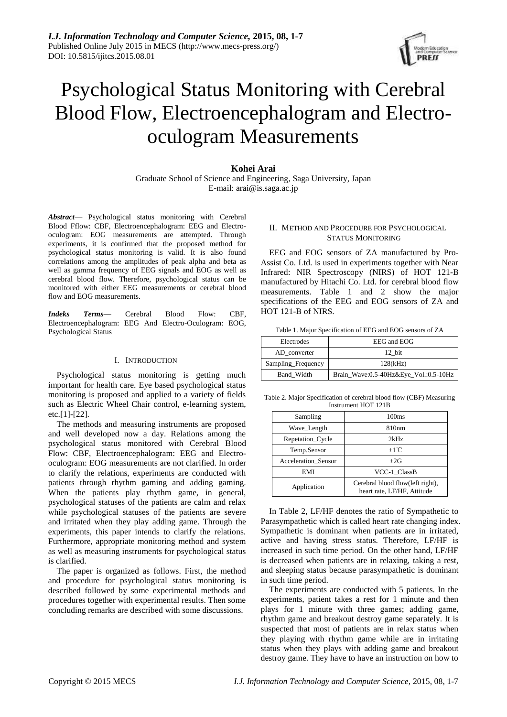

# Psychological Status Monitoring with Cerebral Blood Flow, Electroencephalogram and Electrooculogram Measurements

## **Kohei Arai**

Graduate School of Science and Engineering, Saga University, Japan E-mail: arai@is.saga.ac.jp

*Abstract*— Psychological status monitoring with Cerebral Blood Fflow: CBF, Electroencephalogram: EEG and Electrooculogram: EOG measurements are attempted. Through experiments, it is confirmed that the proposed method for psychological status monitoring is valid. It is also found correlations among the amplitudes of peak alpha and beta as well as gamma frequency of EEG signals and EOG as well as cerebral blood flow. Therefore, psychological status can be monitored with either EEG measurements or cerebral blood flow and EOG measurements.

*Indeks Terms—* Cerebral Blood Flow: CBF, Electroencephalogram: EEG And Electro-Oculogram: EOG, Psychological Status

### I. INTRODUCTION

Psychological status monitoring is getting much important for health care. Eye based psychological status monitoring is proposed and applied to a variety of fields such as Electric Wheel Chair control, e-learning system, etc.[1]-[22].

The methods and measuring instruments are proposed and well developed now a day. Relations among the psychological status monitored with Cerebral Blood Flow: CBF, Electroencephalogram: EEG and Electrooculogram: EOG measurements are not clarified. In order to clarify the relations, experiments are conducted with patients through rhythm gaming and adding gaming. When the patients play rhythm game, in general, psychological statuses of the patients are calm and relax while psychological statuses of the patients are severe and irritated when they play adding game. Through the experiments, this paper intends to clarify the relations. Furthermore, appropriate monitoring method and system as well as measuring instruments for psychological status is clarified.

The paper is organized as follows. First, the method and procedure for psychological status monitoring is described followed by some experimental methods and procedures together with experimental results. Then some concluding remarks are described with some discussions.

## II. METHOD AND PROCEDURE FOR PSYCHOLOGICAL STATUS MONITORING

EEG and EOG sensors of ZA manufactured by Pro-Assist Co. Ltd. is used in experiments together with Near Infrared: NIR Spectroscopy (NIRS) of HOT 121-B manufactured by Hitachi Co. Ltd. for cerebral blood flow measurements. Table 1 and 2 show the major specifications of the EEG and EOG sensors of ZA and HOT 121-B of NIRS.

Table 1. Major Specification of EEG and EOG sensors of ZA

| Electrodes         | EEG and EOG                           |
|--------------------|---------------------------------------|
| AD converter       | 12 bit                                |
| Sampling_Frequency | 128(kHz)                              |
| Band Width         | Brain_Wave:0.5-40Hz&Eye_Vol.:0.5-10Hz |

Table 2. Major Specification of cerebral blood flow (CBF) Measuring Instrument HOT 121B

| Sampling            | 100 <sub>ms</sub>                                               |
|---------------------|-----------------------------------------------------------------|
| Wave_Length         | 810nm                                                           |
| Repetation_Cycle    | 2kHz                                                            |
| Temp.Sensor         | $+1^{\circ}C$                                                   |
| Acceleration Sensor | $+2G$                                                           |
| EMI                 | VCC-1 ClassB                                                    |
| Application         | Cerebral blood flow(left right),<br>heart rate, LF/HF, Attitude |

In Table 2, LF/HF denotes the ratio of Sympathetic to Parasympathetic which is called heart rate changing index. Sympathetic is dominant when patients are in irritated, active and having stress status. Therefore, LF/HF is increased in such time period. On the other hand, LF/HF is decreased when patients are in relaxing, taking a rest, and sleeping status because parasympathetic is dominant in such time period.

The experiments are conducted with 5 patients. In the experiments, patient takes a rest for 1 minute and then plays for 1 minute with three games; adding game, rhythm game and breakout destroy game separately. It is suspected that most of patients are in relax status when they playing with rhythm game while are in irritating status when they plays with adding game and breakout destroy game. They have to have an instruction on how to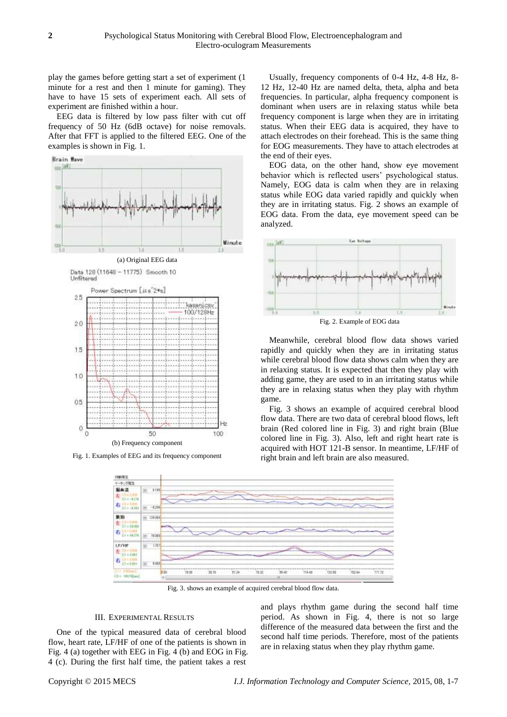play the games before getting start a set of experiment (1 minute for a rest and then 1 minute for gaming). They have to have 15 sets of experiment each. All sets of experiment are finished within a hour.

EEG data is filtered by low pass filter with cut off frequency of 50 Hz (6dB octave) for noise removals. After that FFT is applied to the filtered EEG. One of the examples is shown in Fig. 1.



Fig. 1. Examples of EEG and its frequency component

Usually, frequency components of 0-4 Hz, 4-8 Hz, 8- 12 Hz, 12-40 Hz are named delta, theta, alpha and beta frequencies. In particular, alpha frequency component is dominant when users are in relaxing status while beta frequency component is large when they are in irritating status. When their EEG data is acquired, they have to attach electrodes on their forehead. This is the same thing for EOG measurements. They have to attach electrodes at the end of their eyes.

EOG data, on the other hand, show eye movement behavior which is reflected users' psychological status. Namely, EOG data is calm when they are in relaxing status while EOG data varied rapidly and quickly when they are in irritating status. Fig. 2 shows an example of EOG data. From the data, eye movement speed can be analyzed.



Fig. 2. Example of EOG data

Meanwhile, cerebral blood flow data shows varied rapidly and quickly when they are in irritating status while cerebral blood flow data shows calm when they are in relaxing status. It is expected that then they play with adding game, they are used to in an irritating status while they are in relaxing status when they play with rhythm game.

Fig. 3 shows an example of acquired cerebral blood flow data. There are two data of cerebral blood flows, left brain (Red colored line in Fig. 3) and right brain (Blue colored line in Fig. 3). Also, left and right heart rate is acquired with HOT 121-B sensor. In meantime, LF/HF of right brain and left brain are also measured.



Fig. 3. shows an example of acquired cerebral blood flow data.

#### III. EXPERIMENTAL RESULTS

One of the typical measured data of cerebral blood flow, heart rate, LF/HF of one of the patients is shown in Fig. 4 (a) together with EEG in Fig. 4 (b) and EOG in Fig. 4 (c). During the first half time, the patient takes a rest

and plays rhythm game during the second half time period. As shown in Fig. 4, there is not so large difference of the measured data between the first and the second half time periods. Therefore, most of the patients are in relaxing status when they play rhythm game.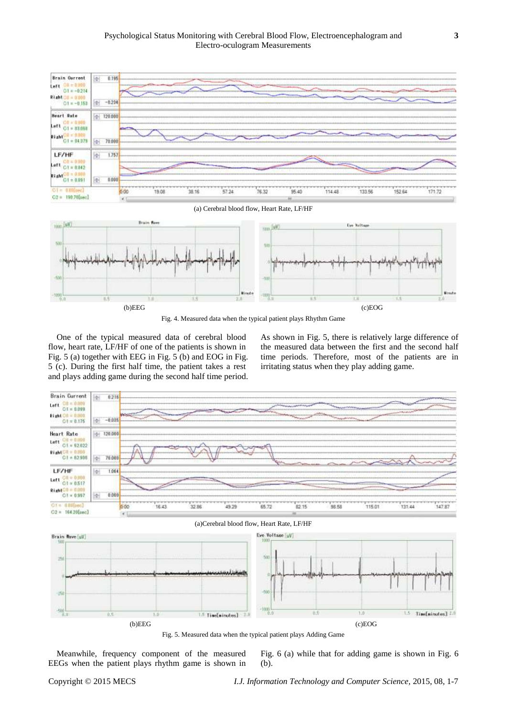

Fig. 4. Measured data when the typical patient plays Rhythm Game

One of the typical measured data of cerebral blood flow, heart rate, LF/HF of one of the patients is shown in Fig. 5 (a) together with EEG in Fig. 5 (b) and EOG in Fig. 5 (c). During the first half time, the patient takes a rest and plays adding game during the second half time period. As shown in Fig. 5, there is relatively large difference of the measured data between the first and the second half time periods. Therefore, most of the patients are in irritating status when they play adding game.



Fig. 5. Measured data when the typical patient plays Adding Game

Meanwhile, frequency component of the measured EEGs when the patient plays rhythm game is shown in

Fig. 6 (a) while that for adding game is shown in Fig. 6 (b).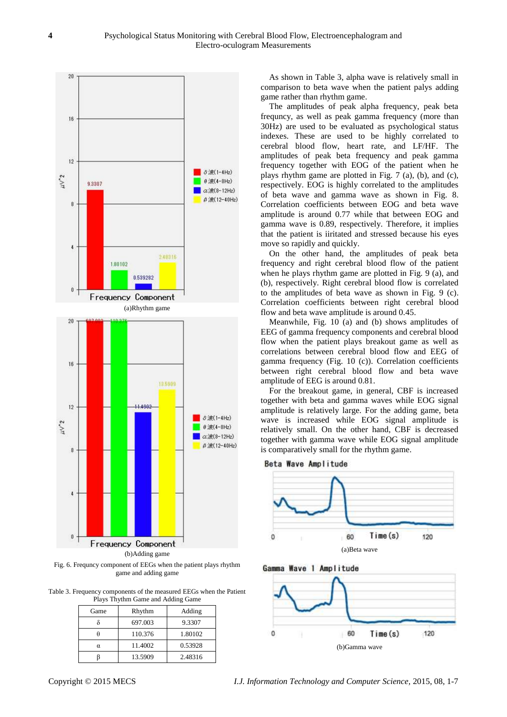

Fig. 6. Frequncy component of EEGs when the patient plays rhythm game and adding game

Table 3. Frequency components of the measured EEGs when the Patient Plays Thythm Game and Adding Game

| Game | Rhythm  | Adding  |
|------|---------|---------|
|      | 697.003 | 9.3307  |
|      | 110.376 | 1.80102 |
| α    | 11.4002 | 0.53928 |
|      | 13.5909 | 2.48316 |

As shown in Table 3, alpha wave is relatively small in comparison to beta wave when the patient palys adding game rather than rhythm game.

The amplitudes of peak alpha frequency, peak beta frequncy, as well as peak gamma frequency (more than 30Hz) are used to be evaluated as psychological status indexes. These are used to be highly correlated to cerebral blood flow, heart rate, and LF/HF. The amplitudes of peak beta frequency and peak gamma frequency together with EOG of the patient when he plays rhythm game are plotted in Fig. 7 (a), (b), and (c), respectively. EOG is highly correlated to the amplitudes of beta wave and gamma wave as shown in Fig. 8. Correlation coefficients between EOG and beta wave amplitude is around 0.77 while that between EOG and gamma wave is 0.89, respectively. Therefore, it implies that the patient is iiritated and stressed because his eyes move so rapidly and quickly.

On the other hand, the amplitudes of peak beta frequency and right cerebral blood flow of the patient when he plays rhythm game are plotted in Fig. 9 (a), and (b), respectively. Right cerebral blood flow is correlated to the amplitudes of beta wave as shown in Fig. 9 (c). Correlation coefficients between right cerebral blood flow and beta wave amplitude is around 0.45.

Meanwhile, Fig. 10 (a) and (b) shows amplitudes of EEG of gamma frequency components and cerebral blood flow when the patient plays breakout game as well as correlations between cerebral blood flow and EEG of gamma frequency (Fig. 10 (c)). Correlation coefficients between right cerebral blood flow and beta wave amplitude of EEG is around 0.81.

For the breakout game, in general, CBF is increased together with beta and gamma waves while EOG signal amplitude is relatively large. For the adding game, beta wave is increased while EOG signal amplitude is relatively small. On the other hand, CBF is decreased together with gamma wave while EOG signal amplitude is comparatively small for the rhythm game.







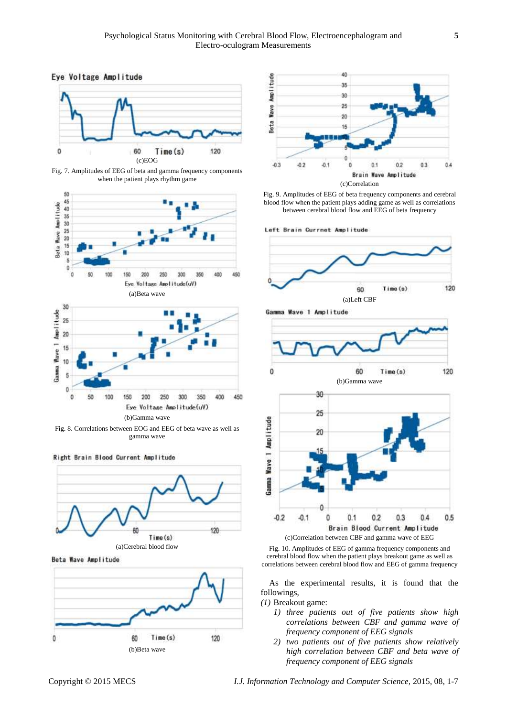



Fig. 7. Amplitudes of EEG of beta and gamma frequency components when the patient plays rhythm game





Fig. 8. Correlations between EOG and EEG of beta wave as well as gamma wave



Beta Wave Amplitude



(a)Cerebral blood flow

 $Time(s)$ 



Fig. 9. Amplitudes of EEG of beta frequency components and cerebral blood flow when the patient plays adding game as well as correlations between cerebral blood flow and EEG of beta frequency

Left Brain Currnet Amplitude



Gamma Wave 1 Amplitude



(b)Gamma wave 30 25 Gamma Wave 1 Amplitude 20  $-0.2$  $0.1$  $0.2$  $0.3$  $0.4$  $0.5$  $-0.1$ ö Brain Blood Current Amplitude

(c)Correlation between CBF and gamma wave of EEG

Fig. 10. Amplitudes of EEG of gamma frequency components and cerebral blood flow when the patient plays breakout game as well as correlations between cerebral blood flow and EEG of gamma frequency

As the experimental results, it is found that the followings,

*(1)* Breakout game:

- *1) three patients out of five patients show high correlations between CBF and gamma wave of frequency component of EEG signals*
- *2) two patients out of five patients show relatively high correlation between CBF and beta wave of frequency component of EEG signals*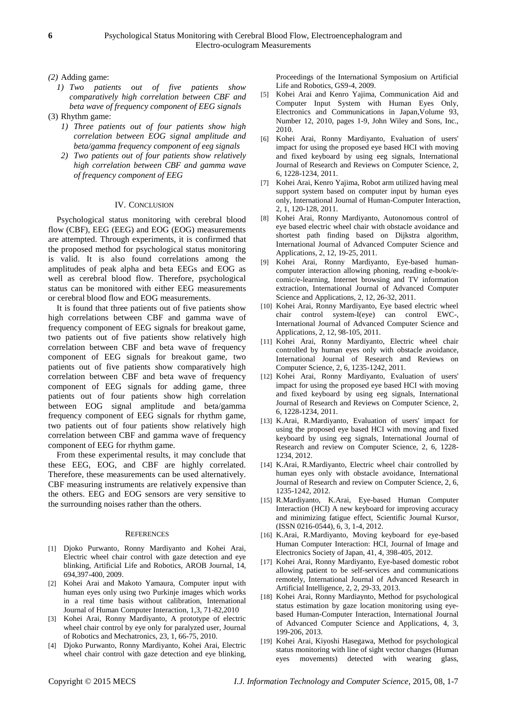*(2)* Adding game:

- *1) Two patients out of five patients show comparatively high correlation between CBF and beta wave of frequency component of EEG signals*
- (3) Rhythm game:
	- *1) Three patients out of four patients show high correlation between EOG signal amplitude and beta/gamma frequency component of eeg signals*
	- *2) Two patients out of four patients show relatively high correlation between CBF and gamma wave of frequency component of EEG*

#### IV. CONCLUSION

Psychological status monitoring with cerebral blood flow (CBF), EEG (EEG) and EOG (EOG) measurements are attempted. Through experiments, it is confirmed that the proposed method for psychological status monitoring is valid. It is also found correlations among the amplitudes of peak alpha and beta EEGs and EOG as well as cerebral blood flow. Therefore, psychological status can be monitored with either EEG measurements or cerebral blood flow and EOG measurements.

It is found that three patients out of five patients show high correlations between CBF and gamma wave of frequency component of EEG signals for breakout game, two patients out of five patients show relatively high correlation between CBF and beta wave of frequency component of EEG signals for breakout game, two patients out of five patients show comparatively high correlation between CBF and beta wave of frequency component of EEG signals for adding game, three patients out of four patients show high correlation between EOG signal amplitude and beta/gamma frequency component of EEG signals for rhythm game, two patients out of four patients show relatively high correlation between CBF and gamma wave of frequency component of EEG for rhythm game.

From these experimental results, it may conclude that these EEG, EOG, and CBF are highly correlated. Therefore, these measurements can be used alternatively. CBF measuring instruments are relatively expensive than the others. EEG and EOG sensors are very sensitive to the surrounding noises rather than the others.

#### **REFERENCES**

- [1] Djoko Purwanto, Ronny Mardiyanto and Kohei Arai, Electric wheel chair control with gaze detection and eye blinking, Artificial Life and Robotics, AROB Journal, 14, 694,397-400, 2009.
- [2] Kohei Arai and Makoto Yamaura, Computer input with human eyes only using two Purkinje images which works in a real time basis without calibration, International Journal of Human Computer Interaction, 1,3, 71-82,2010
- [3] Kohei Arai, Ronny Mardiyanto, A prototype of electric wheel chair control by eye only for paralyzed user, Journal of Robotics and Mechatronics, 23, 1, 66-75, 2010.
- [4] Djoko Purwanto, Ronny Mardiyanto, Kohei Arai, Electric wheel chair control with gaze detection and eye blinking,

Proceedings of the International Symposium on Artificial Life and Robotics, GS9-4, 2009.

- [5] Kohei Arai and Kenro Yajima, Communication Aid and Computer Input System with Human Eyes Only, Electronics and Communications in Japan,Volume 93, Number 12, 2010, pages 1-9, John Wiley and Sons, Inc., 2010.
- [6] Kohei Arai, Ronny Mardiyanto, Evaluation of users' impact for using the proposed eye based HCI with moving and fixed keyboard by using eeg signals, International Journal of Research and Reviews on Computer Science, 2, 6, 1228-1234, 2011.
- [7] Kohei Arai, Kenro Yajima, Robot arm utilized having meal support system based on computer input by human eyes only, International Journal of Human-Computer Interaction, 2, 1, 120-128, 2011.
- [8] Kohei Arai, Ronny Mardiyanto, Autonomous control of eye based electric wheel chair with obstacle avoidance and shortest path finding based on Dijkstra algorithm, International Journal of Advanced Computer Science and Applications, 2, 12, 19-25, 2011.
- [9] Kohei Arai, Ronny Mardiyanto, Eye-based humancomputer interaction allowing phoning, reading e-book/ecomic/e-learning, Internet browsing and TV information extraction, International Journal of Advanced Computer Science and Applications, 2, 12, 26-32, 2011.
- [10] Kohei Arai, Ronny Mardiyanto, Eye based electric wheel chair control system-I(eye) can control EWC-, International Journal of Advanced Computer Science and Applications, 2, 12, 98-105, 2011.
- [11] Kohei Arai, Ronny Mardiyanto, Electric wheel chair controlled by human eyes only with obstacle avoidance, International Journal of Research and Reviews on Computer Science, 2, 6, 1235-1242, 2011.
- [12] Kohei Arai, Ronny Mardiyanto, Evaluation of users' impact for using the proposed eye based HCI with moving and fixed keyboard by using eeg signals, International Journal of Research and Reviews on Computer Science, 2, 6, 1228-1234, 2011.
- [13] K.Arai, R.Mardiyanto, Evaluation of users' impact for using the proposed eye based HCI with moving and fixed keyboard by using eeg signals, International Journal of Research and review on Computer Science, 2, 6, 1228- 1234, 2012.
- [14] K.Arai, R.Mardiyanto, Electric wheel chair controlled by human eyes only with obstacle avoidance, International Journal of Research and review on Computer Science, 2, 6, 1235-1242, 2012.
- [15] R.Mardiyanto, K.Arai, Eye-based Human Computer Interaction (HCI) A new keyboard for improving accuracy and minimizing fatigue effect, Scientific Journal Kursor, (ISSN 0216-0544), 6, 3, 1-4, 2012.
- [16] K.Arai, R.Mardiyanto, Moving keyboard for eye-based Human Computer Interaction: HCI, Journal of Image and Electronics Society of Japan, 41, 4, 398-405, 2012.
- [17] Kohei Arai, Ronny Mardiyanto, Eye-based domestic robot allowing patient to be self-services and communications remotely, International Journal of Advanced Research in Artificial Intelligence, 2, 2, 29-33, 2013.
- [18] Kohei Arai, Ronny Mardiaynto, Method for psychological status estimation by gaze location monitoring using eyebased Human-Computer Interaction, International Journal of Advanced Computer Science and Applications, 4, 3, 199-206, 2013.
- [19] Kohei Arai, Kiyoshi Hasegawa, Method for psychological status monitoring with line of sight vector changes (Human eyes movements) detected with wearing glass,